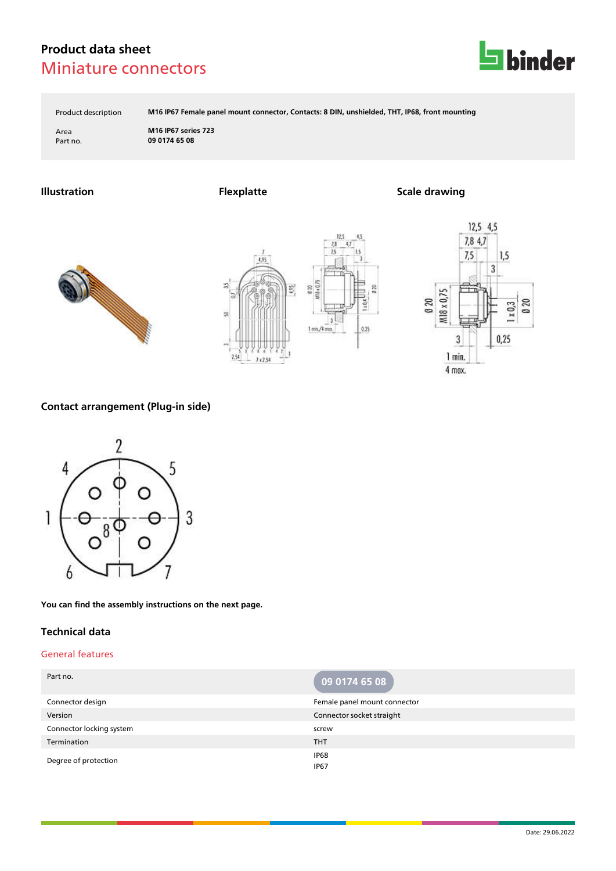

Product description **M16 IP67 Female panel mount connector, Contacts: 8 DIN, unshielded, THT, IP68, front mounting**

B

ida

 $0.25$ 

Area **M16 IP67 series 723** Part no. **09 0174 65 08**

**Illustration Flexplatte Scale drawing**







## **Contact arrangement (Plug-in side)**



**You can find the assembly instructions on the next page.**

### **Technical data**

### General features

| Part no.                 | 09 0174 65 08                   |
|--------------------------|---------------------------------|
| Connector design         | Female panel mount connector    |
| Version                  | Connector socket straight       |
| Connector locking system | screw                           |
| Termination              | <b>THT</b>                      |
| Degree of protection     | IP <sub>68</sub><br><b>IP67</b> |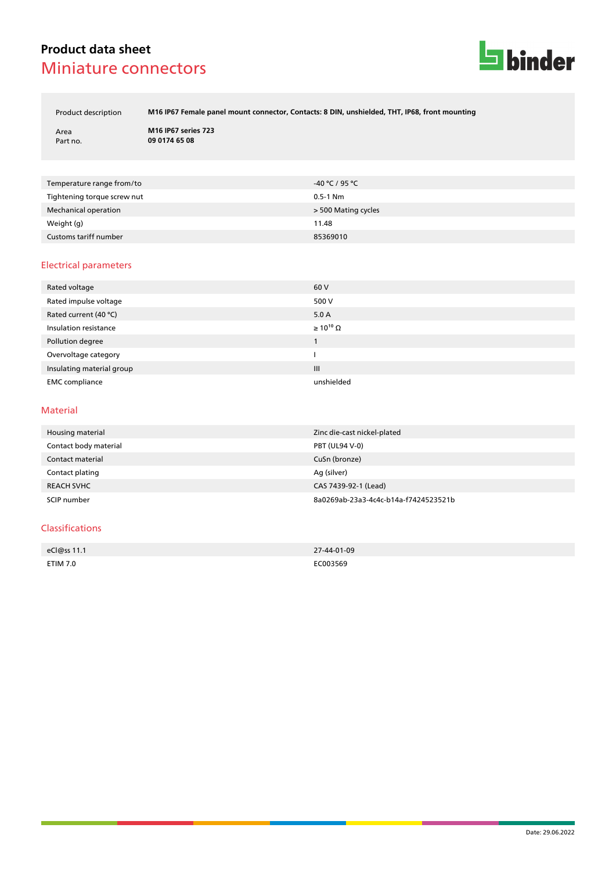

Product description **M16 IP67 Female panel mount connector, Contacts: 8 DIN, unshielded, THT, IP68, front mounting**

Area **M16 IP67 series 723** Part no. **09 0174 65 08**

| Temperature range from/to   | -40 ℃ / 95 ℃        |
|-----------------------------|---------------------|
| Tightening torque screw nut | $0.5 - 1$ Nm        |
| Mechanical operation        | > 500 Mating cycles |
| Weight (g)                  | 11.48               |
| Customs tariff number       | 85369010            |

### Electrical parameters

| Rated voltage             | 60 V                  |
|---------------------------|-----------------------|
| Rated impulse voltage     | 500 V                 |
| Rated current (40 °C)     | 5.0A                  |
| Insulation resistance     | $\geq 10^{10} \Omega$ |
| Pollution degree          |                       |
| Overvoltage category      |                       |
| Insulating material group | III                   |
| <b>EMC</b> compliance     | unshielded            |

#### Material

| Housing material      | Zinc die-cast nickel-plated          |
|-----------------------|--------------------------------------|
| Contact body material | PBT (UL94 V-0)                       |
| Contact material      | CuSn (bronze)                        |
| Contact plating       | Ag (silver)                          |
| <b>REACH SVHC</b>     | CAS 7439-92-1 (Lead)                 |
| SCIP number           | 8a0269ab-23a3-4c4c-b14a-f7424523521b |

### Classifications

| eCl@ss 11.1     | 27-44-01-09 |
|-----------------|-------------|
|                 |             |
| <b>ETIM 7.0</b> | EC003569    |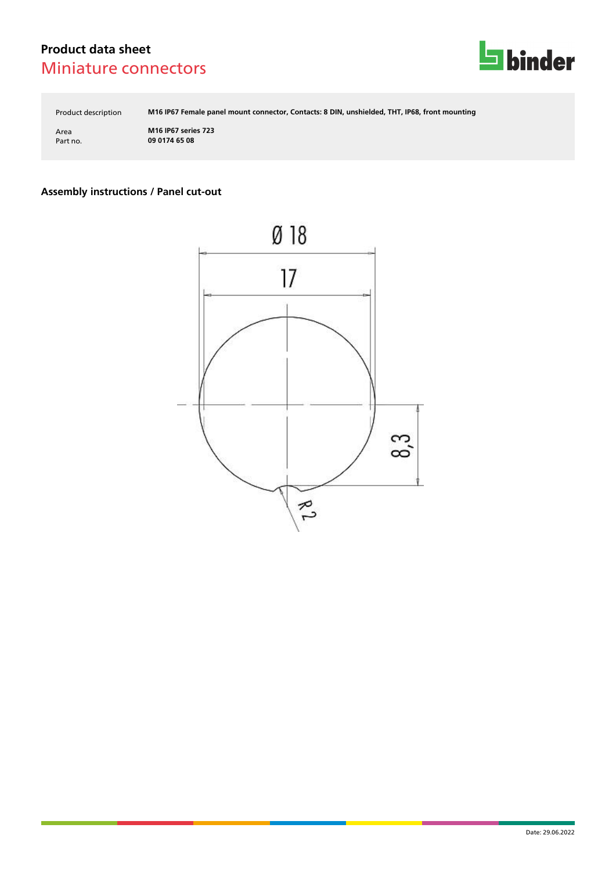

Product description **M16 IP67 Female panel mount connector, Contacts: 8 DIN, unshielded, THT, IP68, front mounting**

Area **M16 IP67 series 723** Part no. **09 0174 65 08**

# **Assembly instructions / Panel cut-out**